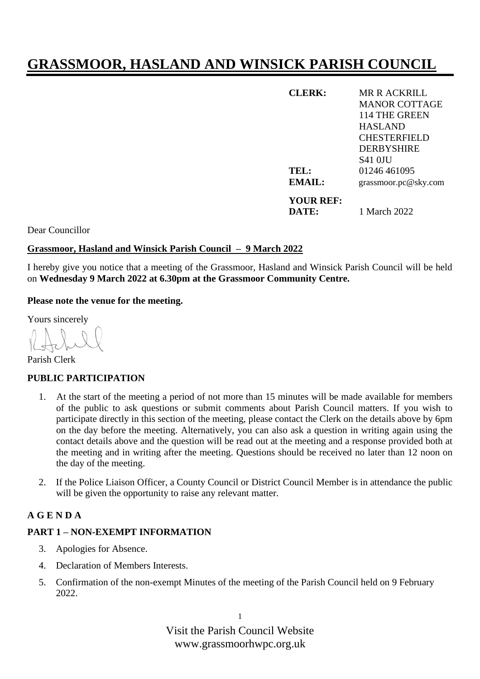# **GRASSMOOR, HASLAND AND WINSICK PARISH COUNCIL**

| <b>CLERK:</b> | MR R ACKRILL         |
|---------------|----------------------|
|               | <b>MANOR COTTAGE</b> |
|               | 114 THE GREEN        |
|               | <b>HASLAND</b>       |
|               | <b>CHESTERFIELD</b>  |
|               | <b>DERBYSHIRE</b>    |
|               | <b>S41 OIU</b>       |
| TEL:          | 01246 461095         |
| EMAIL:        | grassmoor.pc@sky.com |
| YOUR REF:     |                      |
| DATE:         | 1 March 2022         |

Dear Councillor

#### **Grassmoor, Hasland and Winsick Parish Council – 9 March 2022**

I hereby give you notice that a meeting of the Grassmoor, Hasland and Winsick Parish Council will be held on **Wednesday 9 March 2022 at 6.30pm at the Grassmoor Community Centre.**

**Please note the venue for the meeting.**

Yours sincerely

Parish Clerk

#### **PUBLIC PARTICIPATION**

- 1. At the start of the meeting a period of not more than 15 minutes will be made available for members of the public to ask questions or submit comments about Parish Council matters. If you wish to participate directly in this section of the meeting, please contact the Clerk on the details above by 6pm on the day before the meeting. Alternatively, you can also ask a question in writing again using the contact details above and the question will be read out at the meeting and a response provided both at the meeting and in writing after the meeting. Questions should be received no later than 12 noon on the day of the meeting.
- 2. If the Police Liaison Officer, a County Council or District Council Member is in attendance the public will be given the opportunity to raise any relevant matter.

## **A G E N D A**

## **PART 1 – NON-EXEMPT INFORMATION**

- 3. Apologies for Absence.
- 4. Declaration of Members Interests.
- 5. Confirmation of the non-exempt Minutes of the meeting of the Parish Council held on 9 February 2022.

Visit the Parish Council Website www.grassmoorhwpc.org.uk

1